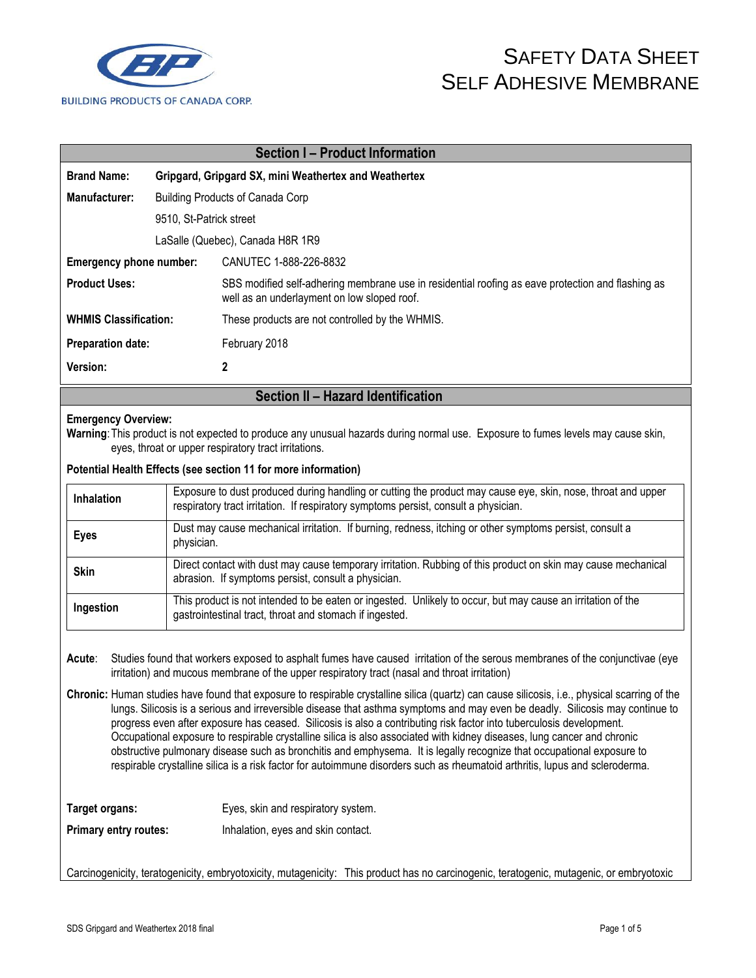

| <b>Section I - Product Information</b> |                                                       |                                                                                                                                                  |  |
|----------------------------------------|-------------------------------------------------------|--------------------------------------------------------------------------------------------------------------------------------------------------|--|
| <b>Brand Name:</b>                     | Gripgard, Gripgard SX, mini Weathertex and Weathertex |                                                                                                                                                  |  |
| Manufacturer:                          | <b>Building Products of Canada Corp</b>               |                                                                                                                                                  |  |
| 9510, St-Patrick street                |                                                       |                                                                                                                                                  |  |
| LaSalle (Quebec), Canada H8R 1R9       |                                                       |                                                                                                                                                  |  |
| Emergency phone number:                |                                                       | CANUTEC 1-888-226-8832                                                                                                                           |  |
| <b>Product Uses:</b>                   |                                                       | SBS modified self-adhering membrane use in residential roofing as eave protection and flashing as<br>well as an underlayment on low sloped roof. |  |
| <b>WHMIS Classification:</b>           |                                                       | These products are not controlled by the WHMIS.                                                                                                  |  |
| <b>Preparation date:</b>               |                                                       | February 2018                                                                                                                                    |  |
| Version:                               |                                                       | 2                                                                                                                                                |  |
| Section II - Hazard Identification     |                                                       |                                                                                                                                                  |  |

#### **Emergency Overview:**

**Warning**:This product is not expected to produce any unusual hazards during normal use. Exposure to fumes levels may cause skin, eyes, throat or upper respiratory tract irritations.

**Potential Health Effects (see section 11 for more information)**

| <b>Inhalation</b> | Exposure to dust produced during handling or cutting the product may cause eye, skin, nose, throat and upper<br>respiratory tract irritation. If respiratory symptoms persist, consult a physician. |
|-------------------|-----------------------------------------------------------------------------------------------------------------------------------------------------------------------------------------------------|
| <b>Eyes</b>       | Dust may cause mechanical irritation. If burning, redness, itching or other symptoms persist, consult a<br>physician.                                                                               |
| <b>Skin</b>       | Direct contact with dust may cause temporary irritation. Rubbing of this product on skin may cause mechanical<br>abrasion. If symptoms persist, consult a physician.                                |
| Ingestion         | This product is not intended to be eaten or ingested. Unlikely to occur, but may cause an irritation of the<br>gastrointestinal tract, throat and stomach if ingested.                              |

**Acute**: Studies found that workers exposed to asphalt fumes have caused irritation of the serous membranes of the conjunctivae (eye irritation) and mucous membrane of the upper respiratory tract (nasal and throat irritation)

**Chronic:** Human studies have found that exposure to respirable crystalline silica (quartz) can cause silicosis, i.e., physical scarring of the lungs. Silicosis is a serious and irreversible disease that asthma symptoms and may even be deadly. Silicosis may continue to progress even after exposure has ceased. Silicosis is also a contributing risk factor into tuberculosis development. Occupational exposure to respirable crystalline silica is also associated with kidney diseases, lung cancer and chronic obstructive pulmonary disease such as bronchitis and emphysema. It is legally recognize that occupational exposure to respirable crystalline silica is a risk factor for autoimmune disorders such as rheumatoid arthritis, lupus and scleroderma.

Target organs: Eyes, skin and respiratory system.

**Primary entry routes:** Inhalation, eyes and skin contact.

Carcinogenicity, teratogenicity, embryotoxicity, mutagenicity: This product has no carcinogenic, teratogenic, mutagenic, or embryotoxic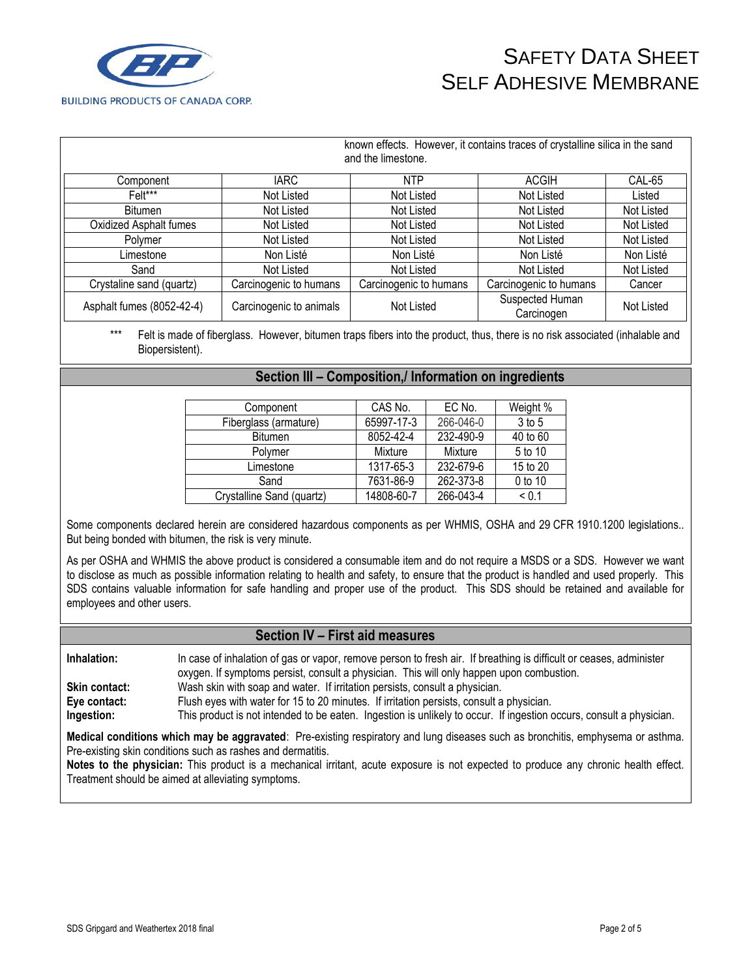

|                           |                         | known effects. However, it contains traces of crystalline silica in the sand<br>and the limestone. |                               |            |
|---------------------------|-------------------------|----------------------------------------------------------------------------------------------------|-------------------------------|------------|
| Component                 | <b>IARC</b>             | <b>NTP</b>                                                                                         | <b>ACGIH</b>                  | CAL-65     |
| Felt***                   | Not Listed              | Not Listed                                                                                         | Not Listed                    | Listed     |
| Bitumen                   | Not Listed              | Not Listed                                                                                         | Not Listed                    | Not Listed |
| Oxidized Asphalt fumes    | Not Listed              | Not Listed                                                                                         | Not Listed                    | Not Listed |
| Polymer                   | Not Listed              | Not Listed                                                                                         | Not Listed                    | Not Listed |
| Limestone                 | Non Listé               | Non Listé                                                                                          | Non Listé                     | Non Listé  |
| Sand                      | Not Listed              | Not Listed                                                                                         | Not Listed                    | Not Listed |
| Crystaline sand (quartz)  | Carcinogenic to humans  | Carcinogenic to humans                                                                             | Carcinogenic to humans        | Cancer     |
| Asphalt fumes (8052-42-4) | Carcinogenic to animals | Not Listed                                                                                         | Suspected Human<br>Carcinogen | Not Listed |

Felt is made of fiberglass. However, bitumen traps fibers into the product, thus, there is no risk associated (inhalable and Biopersistent).

### **Section III – Composition,/ Information on ingredients**

| Component                 | CAS No.    | EC No.    | Weight %   |
|---------------------------|------------|-----------|------------|
| Fiberglass (armature)     | 65997-17-3 | 266-046-0 | 3 to 5     |
| <b>Bitumen</b>            | 8052-42-4  | 232-490-9 | 40 to 60   |
| Polymer                   | Mixture    | Mixture   | 5 to 10    |
| Limestone                 | 1317-65-3  | 232-679-6 | 15 to 20   |
| Sand                      | 7631-86-9  | 262-373-8 | 0 to 10    |
| Crystalline Sand (quartz) | 14808-60-7 | 266-043-4 | ${}_{0.1}$ |

Some components declared herein are considered hazardous components as per WHMIS, OSHA and 29 CFR 1910.1200 legislations.. But being bonded with bitumen, the risk is very minute.

As per OSHA and WHMIS the above product is considered a consumable item and do not require a MSDS or a SDS. However we want to disclose as much as possible information relating to health and safety, to ensure that the product is handled and used properly. This SDS contains valuable information for safe handling and proper use of the product. This SDS should be retained and available for employees and other users.

### **Section IV – First aid measures**

**Inhalation:** In case of inhalation of gas or vapor, remove person to fresh air. If breathing is difficult or ceases, administer oxygen. If symptoms persist, consult a physician. This will only happen upon combustion.

**Skin contact:** Wash skin with soap and water. If irritation persists, consult a physician.

**Eye contact:** Flush eyes with water for 15 to 20 minutes. If irritation persists, consult a physician.

**Ingestion:** This product is not intended to be eaten. Ingestion is unlikely to occur. If ingestion occurs, consult a physician.

**Medical conditions which may be aggravated**: Pre-existing respiratory and lung diseases such as bronchitis, emphysema or asthma. Pre-existing skin conditions such as rashes and dermatitis.

**Notes to the physician:** This product is a mechanical irritant, acute exposure is not expected to produce any chronic health effect. Treatment should be aimed at alleviating symptoms.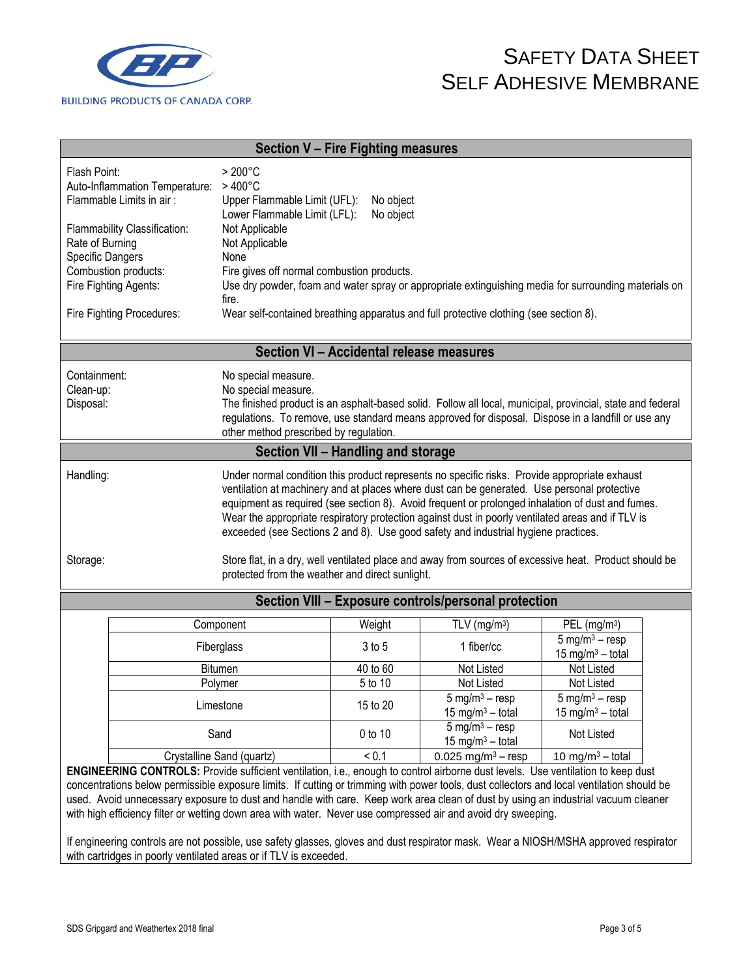

| <b>Section V - Fire Fighting measures</b>            |                                                                                                   |           |                            |                                                                                                            |
|------------------------------------------------------|---------------------------------------------------------------------------------------------------|-----------|----------------------------|------------------------------------------------------------------------------------------------------------|
| Flash Point:                                         | $>200^{\circ}$ C                                                                                  |           |                            |                                                                                                            |
| Auto-Inflammation Temperature:                       | $>400^{\circ}$ C                                                                                  |           |                            |                                                                                                            |
| Flammable Limits in air:                             | Upper Flammable Limit (UFL):                                                                      | No object |                            |                                                                                                            |
|                                                      | Lower Flammable Limit (LFL):                                                                      | No object |                            |                                                                                                            |
| Flammability Classification:                         | Not Applicable                                                                                    |           |                            |                                                                                                            |
| Rate of Burning                                      | Not Applicable                                                                                    |           |                            |                                                                                                            |
| Specific Dangers                                     | None                                                                                              |           |                            |                                                                                                            |
| Combustion products:                                 | Fire gives off normal combustion products.                                                        |           |                            |                                                                                                            |
| Fire Fighting Agents:                                | fire.                                                                                             |           |                            | Use dry powder, foam and water spray or appropriate extinguishing media for surrounding materials on       |
| Fire Fighting Procedures:                            | Wear self-contained breathing apparatus and full protective clothing (see section 8).             |           |                            |                                                                                                            |
|                                                      |                                                                                                   |           |                            |                                                                                                            |
|                                                      | Section VI - Accidental release measures                                                          |           |                            |                                                                                                            |
| Containment:                                         | No special measure.                                                                               |           |                            |                                                                                                            |
| Clean-up:                                            | No special measure.                                                                               |           |                            |                                                                                                            |
| Disposal:                                            |                                                                                                   |           |                            | The finished product is an asphalt-based solid. Follow all local, municipal, provincial, state and federal |
|                                                      |                                                                                                   |           |                            | regulations. To remove, use standard means approved for disposal. Dispose in a landfill or use any         |
|                                                      | other method prescribed by regulation.                                                            |           |                            |                                                                                                            |
|                                                      | Section VII - Handling and storage                                                                |           |                            |                                                                                                            |
| Handling:                                            | Under normal condition this product represents no specific risks. Provide appropriate exhaust     |           |                            |                                                                                                            |
|                                                      | ventilation at machinery and at places where dust can be generated. Use personal protective       |           |                            |                                                                                                            |
|                                                      |                                                                                                   |           |                            | equipment as required (see section 8). Avoid frequent or prolonged inhalation of dust and fumes.           |
|                                                      | Wear the appropriate respiratory protection against dust in poorly ventilated areas and if TLV is |           |                            |                                                                                                            |
|                                                      | exceeded (see Sections 2 and 8). Use good safety and industrial hygiene practices.                |           |                            |                                                                                                            |
| Storage:                                             |                                                                                                   |           |                            | Store flat, in a dry, well ventilated place and away from sources of excessive heat. Product should be     |
|                                                      | protected from the weather and direct sunlight.                                                   |           |                            |                                                                                                            |
| Section VIII - Exposure controls/personal protection |                                                                                                   |           |                            |                                                                                                            |
|                                                      | Component                                                                                         | Weight    | $TLV$ (mg/m <sup>3</sup> ) | PEL $(mg/m3)$                                                                                              |

| Component                 | Weight   | $TLV$ (mg/m <sup>3</sup> )                                 | PEL $(mg/m3)$                                                    |
|---------------------------|----------|------------------------------------------------------------|------------------------------------------------------------------|
| Fiberglass                | $3$ to 5 | 1 fiber/cc                                                 | $5 \text{ mg/m}^3 - \text{resp}$<br>15 mg/m <sup>3</sup> – total |
| <b>Bitumen</b>            | 40 to 60 | Not Listed                                                 | Not Listed                                                       |
| Polymer                   | 5 to 10  | Not Listed                                                 | Not Listed                                                       |
| Limestone                 | 15 to 20 | 5 mg/m <sup>3</sup> – resp<br>15 mg/m <sup>3</sup> – total | 5 mg/m <sup>3</sup> – resp<br>15 mg/m <sup>3</sup> – total       |
| Sand                      | 0 to 10  | 5 mg/m <sup>3</sup> – resp<br>15 mg/m <sup>3</sup> – total | Not Listed                                                       |
| Crystalline Sand (quartz) | < 0.1    | 0.025 mg/m <sup>3</sup> – resp                             | 10 mg/m <sup>3</sup> – total                                     |

**ENGINEERING CONTROLS:** Provide sufficient ventilation, i.e., enough to control airborne dust levels. Use ventilation to keep dust concentrations below permissible exposure limits. If cutting or trimming with power tools, dust collectors and local ventilation should be used. Avoid unnecessary exposure to dust and handle with care. Keep work area clean of dust by using an industrial vacuum cleaner with high efficiency filter or wetting down area with water. Never use compressed air and avoid dry sweeping.

If engineering controls are not possible, use safety glasses, gloves and dust respirator mask. Wear a NIOSH/MSHA approved respirator with cartridges in poorly ventilated areas or if TLV is exceeded.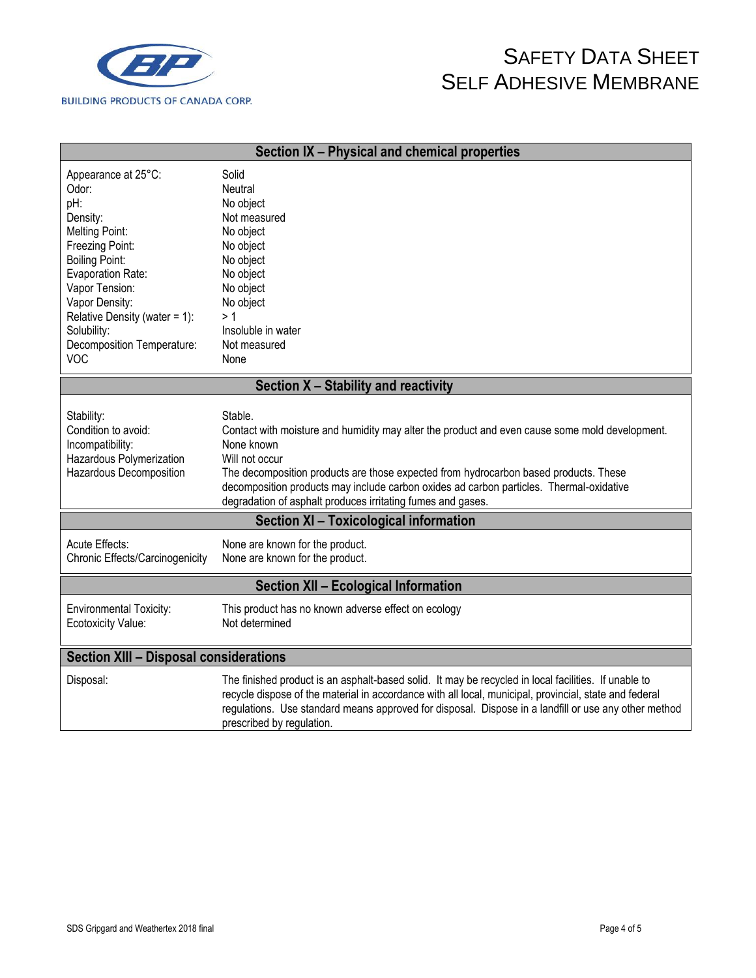

| Section IX - Physical and chemical properties                                                                                                                                                                                                                      |                                                                                                                                                                                                                                                                                                                                                                                             |  |  |  |
|--------------------------------------------------------------------------------------------------------------------------------------------------------------------------------------------------------------------------------------------------------------------|---------------------------------------------------------------------------------------------------------------------------------------------------------------------------------------------------------------------------------------------------------------------------------------------------------------------------------------------------------------------------------------------|--|--|--|
| Appearance at 25°C:<br>Odor:<br>pH:<br>Density:<br>Melting Point:<br>Freezing Point:<br><b>Boiling Point:</b><br>Evaporation Rate:<br>Vapor Tension:<br>Vapor Density:<br>Relative Density (water = 1):<br>Solubility:<br>Decomposition Temperature:<br><b>VOC</b> | Solid<br>Neutral<br>No object<br>Not measured<br>No object<br>No object<br>No object<br>No object<br>No object<br>No object<br>>1<br>Insoluble in water<br>Not measured<br>None                                                                                                                                                                                                             |  |  |  |
|                                                                                                                                                                                                                                                                    | Section X - Stability and reactivity                                                                                                                                                                                                                                                                                                                                                        |  |  |  |
| Stability:<br>Condition to avoid:<br>Incompatibility:<br>Hazardous Polymerization<br>Hazardous Decomposition                                                                                                                                                       | Stable.<br>Contact with moisture and humidity may alter the product and even cause some mold development.<br>None known<br>Will not occur<br>The decomposition products are those expected from hydrocarbon based products. These<br>decomposition products may include carbon oxides ad carbon particles. Thermal-oxidative<br>degradation of asphalt produces irritating fumes and gases. |  |  |  |
| Section XI - Toxicological information                                                                                                                                                                                                                             |                                                                                                                                                                                                                                                                                                                                                                                             |  |  |  |
| Acute Effects:<br>Chronic Effects/Carcinogenicity                                                                                                                                                                                                                  | None are known for the product.<br>None are known for the product.                                                                                                                                                                                                                                                                                                                          |  |  |  |
| <b>Section XII - Ecological Information</b>                                                                                                                                                                                                                        |                                                                                                                                                                                                                                                                                                                                                                                             |  |  |  |
| <b>Environmental Toxicity:</b><br>Ecotoxicity Value:                                                                                                                                                                                                               | This product has no known adverse effect on ecology<br>Not determined                                                                                                                                                                                                                                                                                                                       |  |  |  |
| <b>Section XIII - Disposal considerations</b>                                                                                                                                                                                                                      |                                                                                                                                                                                                                                                                                                                                                                                             |  |  |  |
| Disposal:                                                                                                                                                                                                                                                          | The finished product is an asphalt-based solid. It may be recycled in local facilities. If unable to<br>recycle dispose of the material in accordance with all local, municipal, provincial, state and federal<br>regulations. Use standard means approved for disposal. Dispose in a landfill or use any other method<br>prescribed by regulation.                                         |  |  |  |